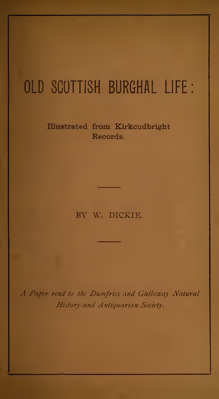# OLD SCOTTISH BURGHAL LIFE

### Illustrated from Kirkcudbright Records.

### BY W. DICKIE.

A Paper read to the Dumfries and Galloway Natural History and Antiquarian Society.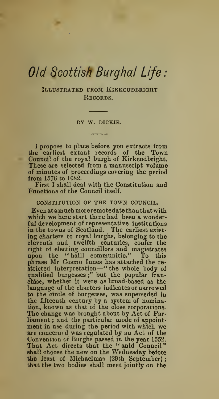## Old Scottish Burghal Life

Illustrated from Kirkcudbright Records.

by W. DICKIE.

I propose to place before you extracts from the earliest extant records of the Town Council of the royal burgh of Kirkcudbright. These are selected from a manuscript volume of minutes of proceedings covering the period from 1576 to 1682.

First I shall deal with the Constitution and Functions of the Council itself.

#### CONSTITUTION OF THE TOWN COUNCIL.

Even at a much moreremotedate than that with which we here start there had been a wonderful development of representative institutions in the towns of Scotland. The earliest exist ing charters to royal burghs, belonging to the eleventh and twelfth centuries, confer the right of electing councillors and magistrates<br>upon the "haill communitie." To this upon the "haill communitie." phrase Mr Cosmo Innes has attached the re stricted interpretation—" the whole body of qualified burgesses ;" but the popular franchise, whether it were as broad-based as the language of the charters indicates or narrowed to the circle of burgesses, was superseded in the fifteenth century by a system of nomination, known as that of the close corporations. The change was bronght about by Act of Parliament ; and the particular mode of appoint ment in use during the period with which we are concerned was regulated by an Act of the Convention of Burghs passed in the year 1552. That Act directs that the "anld Conncil"<br>shall choose the new on the Wednesday before the feast of Michaelmas (29th September) that the two bodies shall meet jointly on the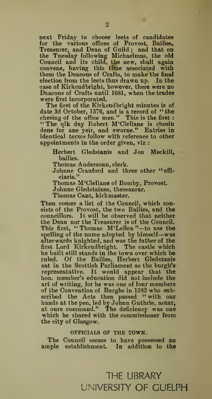next Friday to choose leets of candidates for the various offices of Provost, Bailies, Treasurer, and Dean of Guild; and that on the Tuesday following Michaelmas, the old Council and its child, the new, shall again convene, having this time associated with them the Deacons of Crafts, to make the final election from the leets thus drawn up. In the case of Kirkcudbright, however, there were no Deacons of Crafts until 1681, when the trades were first incorporated.

The first of the Kirkcudbright minutes is of date 3d October, 1576, and is a record of "the chesing of the office men." This is the first: "The qlk day Robert M'Clellane is chosin dene for ane yeir, and sworne." Entries in identical terms follow with reference to other appointments in the order given, viz.

Herbert Gledstanis and Jon Meckill, bailies.

Thomas Andersoun, clerk.

Johnne Crauford and three other "officiaris."

Thomas M'Clellane of Bomby, Provost.

Johnne Gledstaines, thessaurar.

Thomas Cant, kirkmaster.

Then comes a list of the Council, which consists of the Provost, the two Bailies, and the councillors. It will be observed that neither the Dean nor the Treasurer is of the Council. This first, "Thomas M'Lellen"—to use the spelling of the name adopted by himself—was afterwards knighted, and was the father of the first Lord Kirkcudbright. The castle which he built still stands in the town over which he ruled. Of the Bailies, Herbert Gledstanis sat in the Scottish Parliament as the burgh's representative. It would appear that the hon. member's education did not include the art of writing, for he was one of four members of the Convention of Burghs in 1582 who subscribed the Acts then passed " with our hands at the pen, led by Johnn Guthrie, notar, at oure command." The deficiency was one which he shared with the commissioner from the city of Glasgow.

#### OFFICIALS OF THE TOWN.

The Council seems to have possessed an ample establishment. In addition to the

## THE LIBRARY UNIVERSITY OF GUELPH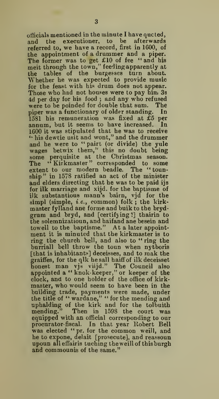officials mentioned in the minute <sup>I</sup>have quoted, and the executioner, to be afterwards referred to, we have a record, first in 1600, of the appointment of a drummer and a piper. The former was to get £10 of fee "and his meit through the town," feeding apparently at the tables of the burgesses turn about. Whether he was expected to provide music for the feast with his drum does not appear. Those who had not houses were to pay him 3s 4d per day for his food ; and any who refused were to be poinded for double that sum. The piper was a functionary of older standing. In 1581 his remuneration was fixed at £5 per annum, but it seems to have increased. In 1600 it was stipulated that he was to receive '• his dewtie usit and wont," and the drummer and he were to " pairt (or divide) the yule wages betwix them," this no doubt being some perquisite at the Christmas season.<br>The "Kirkmaster" corresponded to some extent to our modern beadle. The "tounship" in 1578 ratified an act of the minister and elders directing that he was to be paid ijs for ilk marriage and xijd. for the baptisme of ilk substantious mann's bairn, vjd for the simpl (simple, *i.e.*, common) folk; the kirkmaster fylland ane forme and buik to the bryd grura and bryd, and [certifying ?] thairin to the solemnizatioun, and haifand ane besein and towell to the baptisme." At a later appoint ment it is minuted that the kirkmaster is to ring the church bell, and also to " ring the burriall bell throw the toun when nytboris [that is inhabitants] deceisses, and to mak the graiffes, for the qlk he sall haiff of ilk deceisset honest man vjs viijd." The Council also appointed a " knok-keeper," or keeper of the clock, and to one holder of the office of kirk master, who would seem to have been in the building trade, payments were made, under the title of " wardane," " for the mending and uphalding of the kirk and for the tolbuith mending." Then in 1598 the court was equipped with an official corresponding to our procurator-fiscal. In that year Robert Bell<br>was elected " pr. for the common weill, and he to expone, delait [prosecute], and reassoun upoun alleffairis tuching the weill of this burgh and commounis of the same."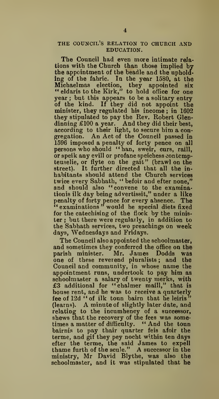### THE COUNCIL'S RELATION TO CHURCH AND EDUCATION.

The Council had even more intimate rela tions with the Church than those implied by the appointment of the beadle and the upholding of the fabric. In the year 1580, at the " eldaris to the Kirk," to hold office for one year ; but this appears to be a solitary entry of the kind. If they did not appoint the minister, they regulated his income ; in 1602 they stipulated to pay the Rev. Robert Glen dinning £100 a year. And they did their best, according to their light, to secure him a con gregation. An Act of the Council passed in 1596 imposed a penalty of forty pence on all<br>persons who should "ban, sweir, curs, raill, or speik any evill or profane speichess eontempteuselie, or flyte on the gait" (brawl on the street). It further directed that all the in habitants should attend the Church services twice every Sabbath, " befoir and efter none," and should also "convene to the examination is ilk day being advertissit," under a like penalty of forty pence for every absence. The " examinations " would be special diets fixed for the catechising of the flock by the minister ; but there were regularly, in addition to the Sabbath services, two preachings on week days, Wednesdays and Fridays.

The Council also appointed the schoolmaster, and sometimes they conferred the office on the parish minister. Mr. James Dodds was one of these reverend pluralists ; and the Council and community, in whose name the appointment runs, undertook to pay him as schoolmaster a salary of twenty merks, with £3 additional for " chalmer maill," that is house rent, and he was to receive a quarterly fee of 12d "of ilk toun bairn that he leiris" (learns). A minute of slightly later date, and relating to the incumbency of a successor, shews that the recovery of the fees was sometimes a matter of difficulty. " And the toun bairnis to pay thair quarter feis afoir the terme, and gif they pey nocht within ten days efter the terme, the said James to expell thame furth of the scule." A successor in the ministry, Mr David Blythe, was also the schoolmaster, and it was stipulated that he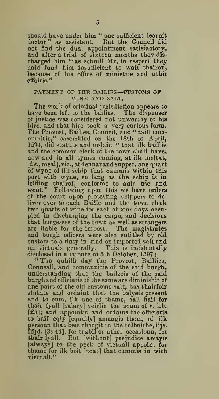should have under him " ane sufficient learnit doctor" as assistant. But the Council did not find the dual appointment satisfactory, and after a trial of sixteen months they dis charged him " as schuill Mr, in respect they haid fund him insufficient to wait thairon, because of his office of ministrie and uthir effairis."

## PAYMENT OF THE BAILIES—CUSTOMS OF WINE AND SALT.

The work of criminal jurisdiction appears to have been left to the bailies. The dispenser of justice was considered not unworthy of his hire, and that hire took a very curious form. The Provost, Bailies, Council, and "haill communitie," assembled on the 18th of April, 1594, did statute and ordain " that ilk baillie now and in all tymes cuming, at ilk meltat, [i.e., meal], viz., at dennar and supper, ane quart of wyne of ilk schip that cummis within this port with wyne, so lang as the schip is in leiffing thairof, conforme to auld use and wont." Following upon this we have orders of the court upon protesting shippers to de-liver over to each Bailie and the town clerk two quarts of wine for each of four days occu pied in discharging the cargo, and decisions that burgesses of the town as well as strangers are liable for the impost. The magistrates and burgh officers were also entitled by old custom to a duty in kind on imported salt and on victuals generally. This is incidentally disclosed in a minute of 5th October, 1597:

"The quhilk day the Provost, Baillies, Connsall, and communitie of the said burgh, understanding that the bailzeis of the said burgh and officiaris of thesameare diminishitof ane pairt of the old custome salt, has thairfoir statnte and ordaint that the balyeis present and to cum, ilk ane of thame, sail haif for thair fyall [salary] yeirlie the soum of v. lib. [£5]; and appointis and ordains the officiaris to haif eqly [equally] amangis them, of ilk<br>persoun that beis chargit in the tolbnithe, iijs. iiijd. [3s 4d], for trubil or uther occasionn, for<br>thair fyall. But [without] prejndice awayis [always] to the peck of victuall appoint for thame for ilk boit [boat] that cummis in with victuall."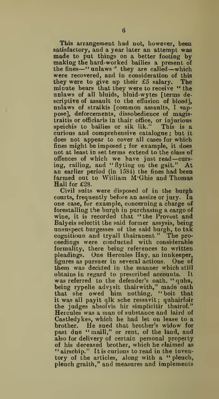This arrangement had not, however, been<br>satisfactory, and a year later an attempt was made to put things on a better footing by making the hard-worked bailies a present of the fines —"unlaws'' they are called—which were recovered, and in consideration of this they were to give up their £5 salary. The minute bears that they were to receive " the unlaws of all bluids, bluid-wytes [terms de scriptive of assault to the effusion of blood], unlaws of straikis [common assaults, <sup>I</sup> suppose], deforcements, dissobedience of magistraitis or offieiaris in thair office, or injurious speichis to bailies or sik lik." curious and comprehensive catalogue ; but it does not appear to cover all cases for which fines might be imposed ; for example, it does not at least in set terms extend to the class of offences of which we have just read-cursing, railing, aud "flytiog on the gait." At an earlier period (in 1584) the fines had been farmed out to William M'Ghie and Thomas Hall for £28.

Civil suits were disposed of in the burgh courts, frequently before an assize or jury. In one case, for example, concerning a charge of forestalling the burgh in purchasing a cargo of wine, it is recorded that " the Provost and Balyeis selectit the said former assysis, being unsuspect burgesses of the said burgh, to tak cognitioun and tryall thairanent." The pro ceedings were conducted with considerable formality, there being references to written pleadings. One Hercules Hay, an innkeeper, figures as pursuer in several actions. One of them was decided in the manner which still obtains in regard to prescribed accounts. was referred to the defender's oath. " quha, being rypelie advjsit thairwith," made oath that she owed him nothing, "boit that it was all payit qlk sche ressavit ; quhairfoir the judges absolvis hir simplicitir thairof." Hercules was a man of substance and laird of Castledykes, which he had let on lease to a brother. He sued that brother's widow for He sued that brother's widow for past due "maill," or rent, of the land, and also for delivery of certain personal property of his deceased brother, which he claimed as "airschip." It is curious to read in the inventory of the articles, along with a " pleuch, pleuch graith," and measures and implements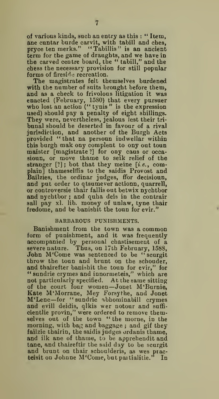of various kinds, such an entry as this : " Item, ane cuntar burde carvit, with tabill and ches, pryce ten merks." "Tabillis" is an ancient term for the game of draughts, and we have in the carved centre board, the " tabill," and the chess the necessary provision for still popular forms of fireside recreation.

The magistrates felt themselves burdened with the number of suits brought before them. and as a check to frivolous litigation it was enacted (February, 1580) that every pursuer who lost an action (" tynis " is the expression used) should pay a penalty of eight shillings. They were, nevertheless, jealous lest their tribunal should be deserted in favour of a rival jurisdiction, and another of the Burgh Acts provided " that na persoun indwellar within this burgh mak ony complent to ony out toun maister [magistrate ?] for ony caus or occasioun, or move thame to seik relief of the stranger [?]; bot that they meine [i.e., complain] thameselffis to the saidis Provost and Bailzies, the ordinar judges, ffor decisioun, and put order to qtsumever actionn, quarrel], or controversie thair fallis out betwix nychtbor and nychtbor ; and quha deis in the contrair sall pay xl. lib. money of unlaw, tyne thair fredome, and be banishit the toun for evir."

#### BARBAROUS PUNISHMENTS.

Banishment from the town was a common form of punishment, and it was frequently accompanied by personal chastisement of a severe nature. Thus, on 17th February, 1588, John M'Come was sentenced to be " scurgit throw the toun and brunt on the schouder, and thairefter banishit the toun for evir," for " sundrie crymes and innormeteis," which are not particularly specified. At the same sitting of the court four women—Jonet M'Burnie, Kate M'Morrane, Mey Forsythe, and Jonet M'Lene—for "sundrie abhominabill crymes and evill deidis, qlkis wer notour and sufficientlie provin," were ordered to remove them-selves out of the town " the morne, in the morning, with ba $\alpha$  and baggage; and gif they failzie thairin, the saidis judges ordanis thame. and ilk ane of thame, to be apprehendit and tane, and thaireftir the said day to be scurgit and brunt on thair schoulderis, as wes practeisit on Johnne M'Come, but paitialitie." In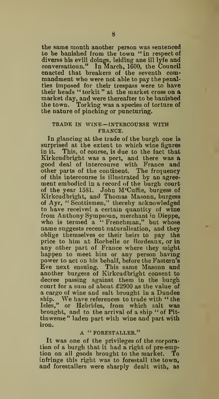the same month another person was sentenced to be banished from the town " in respect of diverss his evill doings, leiding ane ill lyfe and conversatioun." In March, 1600, the Council enacted that breakers of the seventh com mandment who were not able to pay the penalties imposed for their trespass were to have their heads " torkit" at the market cross on a market day, and were thereafter to be banished the town. Torking was a species of torture of the nature of pinching or puncturing.

#### TRADE IN WINE—INTERCOURSE WITH FRANCE.

In glancing at the trade of the burgh one is surprised at the extent to which wine figures in it. This, of course, is due to the fact that Kirkcudbright was a port, and there was a good deal of intercourse with France and other parts of the continent. The frequency of this intercourse is illustrated by an agree ment embodied in a record of the burgh court of the year 1581. John M'Cuffie, burgess of Kirkcudbright, and Thomas Masonn, burgess of Ayr, " Scottismen," thereby acknowledged to have received a certain quantity of wine from Anthony Sympsoun, merchant in Dieppe, who is termed a "Frenchman," but whose name suggests recent naturalisation, and they oblige themselves or their heirs to pay the price to him at Rochelle or Bordeaux, or in any other part of France where they might happen to meet him or any person having power to act on his behalf, before the Fastern's Eve next ensuing. This same Masonn and another burgess of Kirkcudbright consent to decree passing against them in the burgh court for a sum of about £2900 as the value of a cargo of wine and salt brought in a Dundee ship. We have references to trade with "the Isles," or Hebrides, from which salt was brought, and to the arrival of a ship " of Pit tinweme" laden part with wine and part with iron.

#### A "FORESTALLER."

It was one of the privileges of the corporation of a burgh that it had a right of pre-emption on all goods brought to the market. To infringe this right was to forestall the town, and forestallers were sharply dealt with, as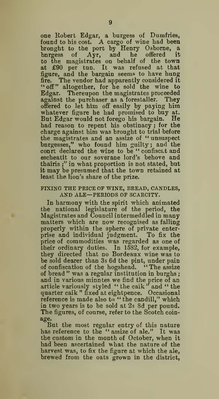one Robert Edgar, a burgess of Dumfries, found to bis cost. A cargo of wine had been brought to the port by Henry Osborne, a bnrgess of Ayr, and he offered it<br>to the magistrates on behalf of the town<br>at £90 per tun. It was refused at that figure, and the bargain seems to have hung fire. The vendor had apparently considered it "off" altogether, for he sold the wine to Edgar. Thereupon the magistrates proceeded against the purchaser as a forestaller. They offered to let him off easily by paying him whatever figure he had promised to buy at. But Edgar would not forego his bargain. He had reason to repent his obstinacy ; for the charge against him was brought to trial before the magistrates and an assize of " unsuspect bnrgesses," who found him guilty; and the court declared the wine to be " confiscat and escheatit to our soverane lord's behove and thairis ;" in what proportion is not stated, but it may be presumed that the town retained at least the lion's share of the prize.

#### FIXING THE PRICE OF WINE, BREAD, CANDLES, AND ALE—PERIODS OF SCARCITY.

In harmony with the spirit which animated the national legislature of the period, the Magistrates and Council intermeddled in many matters which are now recognised as falling properly within the sphere of private enter-prise and individual judgment. To fix the price of commodities was regarded as one of their ordinary duties. In 1582, for example, they directed that no Bordeaux wine was to be sold dearer than 33 6d the pint, under pain of confiscation of the hogshead. "The assize of bread " was a regular institution in burghs and in various minntes we find the price of an article variously styled " the caik" and " the quarter caik " fixed at eightpence. Occasional reference is made also to " the candill," which in two years is to be sold at 2s 8d per pound. The figures, of course, refer to the Scotch coin age.

But the most regnlar entry of this nature has reference to the "assize of ale." It was the custom in the month of October, when it had been ascertained what the nature of the harvest was, to fix the figure at which the ale, brewed from the oats grown in the district,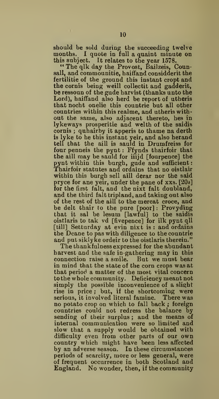should be sold during the succeeding twelve months. <sup>I</sup> quote in full a quaint minute on this subject. It relates to the year 1578. " The qlk day the Provost, Bailzeis, Coun-

sall, and commounitie, haiffand considderit the fertilitie of the ground this instant cropt and the cornis being weill collectit and gadderit, be ressoun of the gude harvist (thanks unto the Lord), haiffand also herd be report of utheris that nocht onelie this countrie but all other countries within this realme, and utheris with out the same, also adjacent thereto, hes in lykeways prosperitie and welth of the saidis cornis ; quhairby it apperis to thame na derth is lyke to be this instant yeir, and also herand tell that the aill is sauld in Drumfreiss for four penneis the pynt : Ffynds thairfoir that the aill may be sauld for iiijd [fourpence] the pynt within this burgh, gude and sufficient: Thairfoir statutes and ordains that no oistlair within this burgh sell aill derar nor the said pryce for ane yeir, under the pane of xxs. [20s] for the first fait, and the nixt fait doubland, and the third fait tripland, and taking out also of the rest of the aill to the mercat croce, and be delt thair to the pure [poor] : Provyding that it sal be lesum [lawful] to the saidis oistlaris to tak vd [fivepence] for ilk pynt qll [till] Setturday at evin nixt is: and ordains the Deane to pas with diligence to the countrie and put siklyke ordeir to the oistlaris therein."

The thankfulness expressed for the abundant harvest and the safe in-gathering may in this connection raise a smile. But we must bear in mind that the state of the corn crops was at that period a matter of the most vital concern to the whole community. Deficiency meant not simply the possible inconvenience of a slight rise in price ; but, if the shortcoming were serious, it involved literal famine. There was no potato crop on which to fall back ; foreign countries could not redress the balance by sending of their surplus ; and the means of internal communication were so limited and slow that a supply would be obtained with difficulty even from other parts of our own country which might have been less affected by an adverse season. In these circumstances periods of scarcity, more or less general, were of frequent occurrence in both Scotland and England. No wonder, then, if the community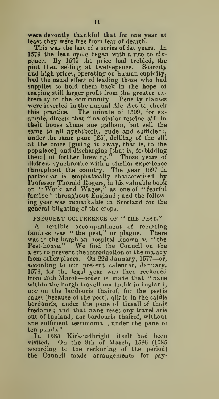were devoutly thankful that for one year at least they were free from fear of dearth.

This was the last of a series of fat years. In 1579 the lean cycle began with a rise to six pence. By 1595 the piice had trebled, the pint then selling at twelvepence. Scarcity and high prices, operating on human cupidity, had the usual effect of leading those who had supplies to hold them back in the hope of reaping still larger profit from the greater ex tremity of the community. Penalty clauses were inserted in the annual Ale Act to check this practice. The minute of 1599, for ex ample, directs that " na oistlar reteine aill in their houss abone ane galloun, but sell the same to all nychtboris, gude and sufficient, under the same pane [£5], deilling of the aill at the croce [giving it away, that is, to the populace], and discharging [that is, foi bidding them] of forther brewing." Those years of distress synchronise with a similar experience throughout the country. The year 1597 in particular is emphatically characterised by Professor Thorold Rogers, in his valuable book on " Work and Wages," as one of " fearful famine" throughout England; and the following year was remarkable in Scotland for the general blighting of the crops.

#### FREQUENT OCCURRENCE OF "THE PEST."

A terrible accompaniment of recurring famines was. "the pest," or plague. There was in the burgh an hospital known as " the Pest-house." We find the Council on the alert to prevent the introduction of the malady from other places. On 22d January, 1577—or, according to our present calendar, January, 1578, for the legal year was then reckoned from 25th March—order is made that " nane within the burgh travell nor trafik in Ingland, nor on the boidouris thairof, for the pestis causs [because of the pest], qlk is in the saidis bordouris, under the pane of tinsall of thair fredome ; and that nane reset ony travellaris out of Ingland, nor bordouris thairof, without ane sufficient testimoniall, under the pane of ten punds."

In 1585 Kirkcudbright itself had been visited. On the 9th of March, 1586 (1585 according to the reckoning of the period) the Council made arrangements for pay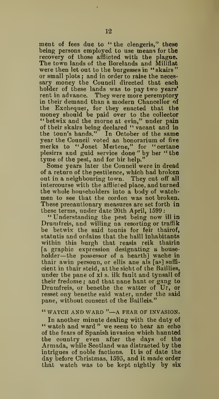ment of fees due to " the clengeris," these being persons employed to use means for the recovery of those afflicted with the plague. The town lands of the Borelands and Millflat were then let out to the burgesses in "skairs" or small plots ; and in order to raise the neces sary money the Council directed that each holder of these lands was to pay two years' rent in advance. They were more peremptory in their demand than a modern Chancellor of the Exchequer, for they enacted that the money should be paid over to the collector "betwix and the morne at evin," under pain of their skairs being declared " vacant and in the toun's hands." In October of the same year the Council voted an honorarium of five merks to "Jonet Mertene," for "certane plesirrs and guid service done " by her " the tyme of the pest, and for hir help."

Some years later the Council were in dread of a return of the pestilence, which had broken out in a neighbouring town. They cut off all intercourse with the afflicted place, and turned<br>the whole householders into a body of watchmen to see that the cordon was not broken. These precautionary measures are set forth in these terms, under date 20th April, 1599 :

"Understanding the pest being now ill in Drumfreis, and willing na resorting or traffik be betwix the said tounis for feir thairof, statutis and ordains that the haill inhabitants within this burgh that reasis reik thairin [a graphic expression designating a house- holder—the possessor of a hearth] wache in thair awin persoun, or ellis ane als [as] suffi cient in thair steid, atthesichtof the Baillies, under the pane of xl s. ilk fault and tynsall of their fredome ; and that nane hant or gang to<br>Drumfreis, or benethe the watter of Ur, or resset ony benethe said water, under the said pane, without consent of the Bailleis."

#### " WATCH AND WARD "—A FEAR OF INVASION.

In another minute dealing with the duty of \*' watch and ward " we seem to hear an echo of the fears of Spanish invasion which haunted the country even after the days of the Armada, while Scotland was distracted by the intrigues of noble factions. It is of date the day before Christmas, 1595, and it made order that watch was to be kept nightly by six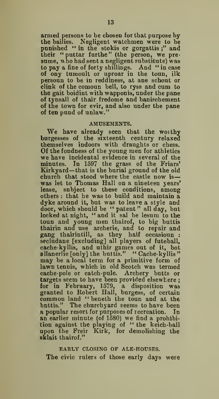armed persons to be chosen for that purpose by the bailies. Negligent watchmen were to be punished " in the stokis or gorgattis;" and their " puttar furthe" (the person, we presume, v ho had sent a negligent substitute) was to pay a fine of forty shillings. And " in case of ony tumoult or uproar in the toun, ilk persoun to be in reddiness, at ane schout or clink of the comoun bell, to ryss and cum to the gait boidint with wapponis, under the pane of tynsall of thair fredome and banischement of the town for evir, and also under the pane of ten pund of unlaw."

#### AMUSEMENTS.

We have already seen that the woithy burgesses of the sixteenth century relaxed themselves indoors with draughts or chess.<br>Of the fondness of the young men for athletics we have incidental evidence in several of the minutes. In 1597 the grass of the Friars' Kirkyard— that is the burial ground of the old church that stood where the castle now is was let to Thomas Hall on a nineteen years' lease, subject to these conditions, among others : that he was to build and maintain a dyke around it, but was to leave a style and door, which should be " patent" all day, but locked at night, " and it sal be lesum to the toun and young men thairof, to big buttis thairin and use archerie, and to repair and gang thairintill, as they haif occasioun : secludane [excluding] all players of futeball, cache-kyllis, and uthir games out of it, bot allanerlie [only] the buttis." "Cache-kyllis" allanerlie [only] the buttis." " Cache-kyllis" may be a local term for a primitive form of<br>lawn tennis, which in old Scotch was termed cache-pole or catch-pule. Archery butts or targets seem to have been provided elsewhere ; for in February, 1579, a disposition was granted to Robert Hall, burgess, of certain common land " beneth the toun and at the bnttis." The churchyard seems to have been a popular resort for purposes of recreation. In an earlier minute (of 1580) we find a prohibition against the playing of " the keich-ball upon the Freir Kirk, for demolishing the sklait thairof."

EARLY CLOSING OF ALE-HODSES. The civic rulers of those early days were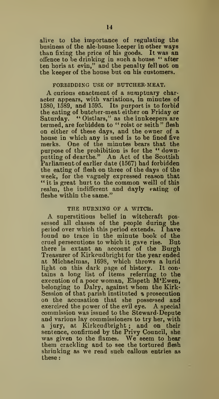alive to the importance of regulating the business of the ale-house keeper in other ways than fixing the price of his goods. It was an offence to be drinking in such a house " after ten horis at evin," and the penalty fell not on the keeper of the house but on his customers.

#### FORBIDDING USE OF BUTCHER-MEAT.

A curious enactment of <sup>a</sup> sumptuary character appears, with variations, in minutes of 1580, 1589, and 1595. Its purport is to forbid the eating of butcher-meat either on Friday or Saturday. " Oistlars," as the innkeepers are termed, are forbidden to " roist or seith" flesh on either of these days, and the owner of a house in which any is used is to be fined five merks. One of the minutes bears that the purpose of the prohibition is for the " downputting of dearthe." An Act of the Scottish Parliament of earlier date (1567) had forbidden the eating of flesh on three of the days of the week, for the vaguely expressed reason that " it is great hurt to the common weill of this realm, the indifferent and dayly eating of fleshe within the same."

THE BURNING OF A WITCH.<br>A superstitious belief in witchcraft possessed all classes of the people during the period over which this period extends. I have found no trace in the minute book of the cruel persecutions to which it gave rise. But there is extant an account of the Burgh Treasurer of Kirkcudbright for the year ended at Michaelmas, 1698, which throws a lurid light on this dark page of history. It contains a long list of items referring to the execution of a poor woman, Elspeth M'Ewen, belonging to Dairy, against whom the Kirk-Session of that parish instituted a prosecution on the accusation that she possessed and exercised the power of the evil eye. A special commission was issued to the Steward-Depute and various lay commissioners to try her, with a jury, at Kirkcudbright ; and on their sentence, confirmed by the Privy Council, she was given to the flames. We seem to hear them crackling and to see the tortured flesh shrinking as we read such callous entries as these